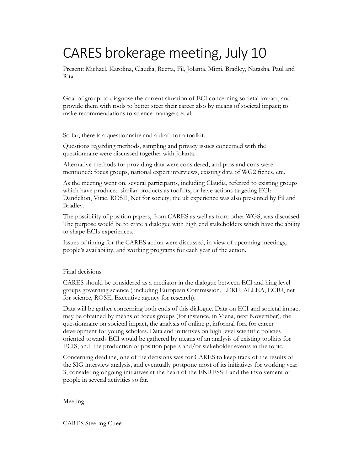## CARES brokerage meeting, July 10

Present: Michael, Karolina, Claudia, Reetta, Fil, Jolanta, Mimi, Bradley, Natasha, Paul and Rita

Goal of group: to diagnose the current situation of ECI concerning societal impact, and provide them with tools to better steer their career also by means of societal impact; to make recommendations to science managers et al.

So far, there is a questionnaire and a draft for a toolkit.

Questions regarding methods, sampling and privacy issues concerned with the questionnaire were discussed together with Jolanta.

Alternative methods for providing data were considered, and pros and cons were mentioned: focus groups, national expert interviews, existing data of WG2 fiches, etc.

As the meeting went on, several participants, including Claudia, referred to existing groups which have produced similar products as toolkits, or have actions targeting ECI: Dandelion, Vitae, ROSE, Net for society; the uk experience was also presented by Fil and Bradley.

The possibility of position papers, from CARES as well as from other WGS, was discussed. The purpose would be to crate a dialogue with high end stakeholders which have the ability to shape ECIs experiences.

Issues of timing for the CARES action were discussed, in view of upcoming meetings, people's availability, and working programs for each year of the action.

## Final decisions

CARES should be considered as a mediator in the dialogue between ECI and hing level groups governing science ( including European Commission, LERU, ALLEA, ECIU, net for science, ROSE, Executive agency for research).

Data will be gather concerning both ends of this dialogue. Data on ECI and societal impact may be obtained by means of focus groups (for instance, in Viena, next November), the questionnaire on societal impact, the analysis of online p, informal fora for career development for young scholars. Data and initiatives on high level scientific policies oriented towards ECI would be gathered by means of an analysis of existing toolkits for ECIS, and the production of position papers and/or stakeholder events in the topic.

Concerning deadline, one of the decisions was for CARES to keep track of the results of the SIG interview analysis, and eventually postpone most of its initiatives for working year 3, considering ongoing initiatives at the heart of the ENRESSH and the involvement of people in several activities so far.

## Meeting

CARES Steering Cttee